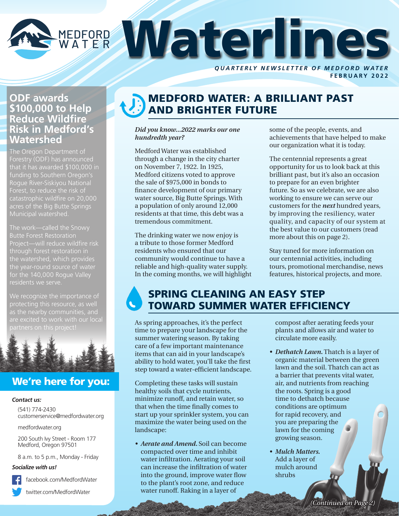

**FEBRUARY 2022**

### **ODF awards \$100,000 to Help Reduce Wildfire Risk in Medford's Watershed**

The Oregon Department of Forestry (ODF) has announced that it has awarded \$100,000 in funding to Southern Oregon's Rogue River-Siskiyou National Forest, to reduce the risk of acres of the Big Butte Springs Municipal watershed.

The work—called the Snowy Butte Forest Restoration Project—will reduce wildfire risk the watershed, which provides for the 140,000 Rogue Valley

We recognize the importance of protecting this resource, as well are excited to work with our local



# We're here for you:

### *Contact us:*

(541) 774-2430 customerservice@medfordwater.org

medfordwater.org

200 South Ivy Street - Room 177 Medford, Oregon 97501

8 a.m. to 5 p.m., Monday - Friday

### *Socialize with us!*



facebook.com/MedfordWater

twitter.com/MedfordWater

# MEDFORD WATER: A BRILLIANT PAST AND BRIGHTER FUTURE

### *Did you know...2022 marks our one hundredth year?*

Medford Water was established through a change in the city charter on November 7, 1922. In 1925, Medford citizens voted to approve the sale of \$975,000 in bonds to finance development of our primary water source, Big Butte Springs. With a population of only around 12,000 residents at that time, this debt was a tremendous commitment.

The drinking water we now enjoy is a tribute to those former Medford residents who ensured that our community would continue to have a reliable and high-quality water supply. In the coming months, we will highlight some of the people, events, and achievements that have helped to make our organization what it is today.

The centennial represents a great opportunity for us to look back at this brilliant past, but it's also an occasion to prepare for an even brighter future. So as we celebrate, we are also working to ensure we can serve our customers for the *next* hundred years, by improving the resiliency, water quality, and capacity of our system at the best value to our customers (read more about this on page 2).

Stay tuned for more information on our centennial activities, including tours, promotional merchandise, news features, historical projects, and more.

# SPRING CLEANING AN EASY STEP TOWARD SUMMER WATER EFFICIENCY

As spring approaches, it's the perfect time to prepare your landscape for the summer watering season. By taking care of a few important maintenance items that can aid in your landscape's ability to hold water, you'll take the first step toward a water-efficient landscape.

Completing these tasks will sustain healthy soils that cycle nutrients, minimize runoff, and retain water, so that when the time finally comes to start up your sprinkler system, you can maximize the water being used on the landscape:

*• Aerate and Amend.* Soil can become compacted over time and inhibit water infiltration. Aerating your soil can increase the infiltration of water into the ground, improve water flow to the plant's root zone, and reduce water runoff. Raking in a layer of

compost after aerating feeds your plants and allows air and water to circulate more easily.

- *• Dethatch Lawn.* Thatch is a layer of organic material between the green lawn and the soil. Thatch can act as a barrier that prevents vital water, air, and nutrients from reaching the roots. Spring is a good time to dethatch because conditions are optimum for rapid recovery, and you are preparing the lawn for the coming growing season.
- *• Mulch Matters.*  Add a layer of mulch around shrubs

*(Continued on Page 2)*